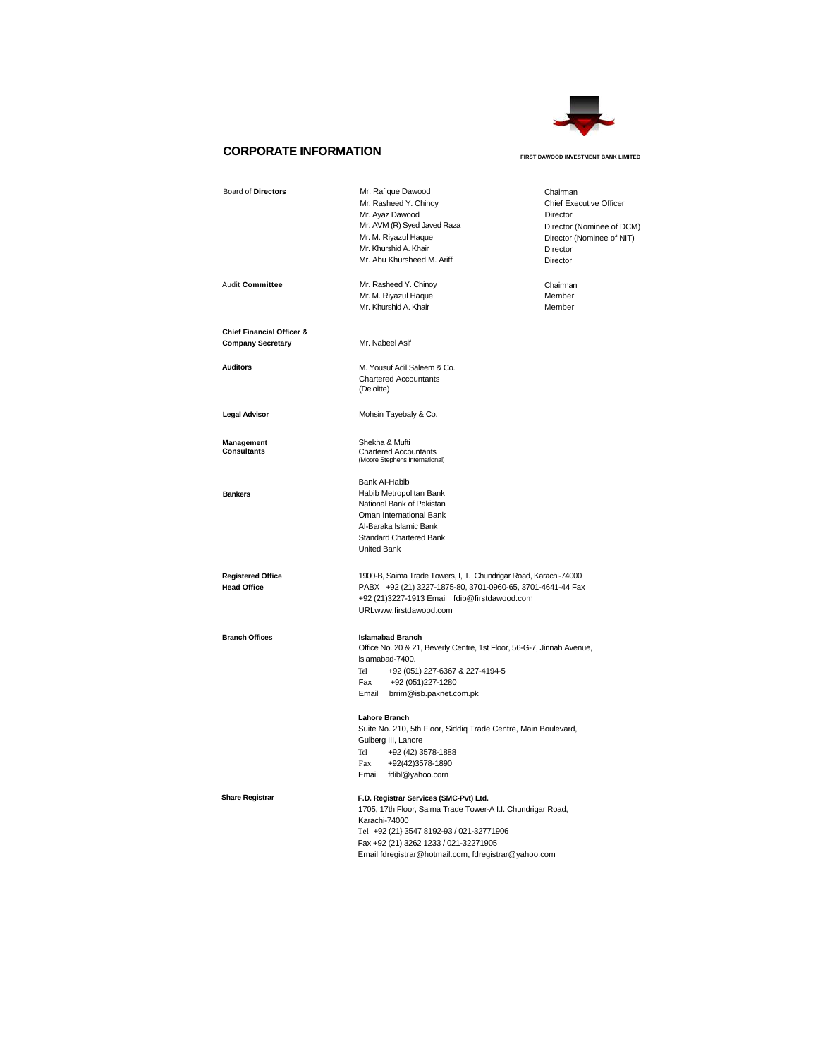

# **CORPORATE INFORMATION FIRST DAWOOD INVESTMENT BANK LIMITED**

| Board of Directors                             | Mr. Rafique Dawood                                                                                                             | Chairman                       |
|------------------------------------------------|--------------------------------------------------------------------------------------------------------------------------------|--------------------------------|
|                                                | Mr. Rasheed Y. Chinoy                                                                                                          | <b>Chief Executive Officer</b> |
|                                                | Mr. Ayaz Dawood                                                                                                                | Director                       |
|                                                | Mr. AVM (R) Syed Javed Raza                                                                                                    | Director (Nominee of DCM)      |
|                                                | Mr. M. Riyazul Haque                                                                                                           | Director (Nominee of NIT)      |
|                                                | Mr. Khurshid A. Khair                                                                                                          | Director                       |
|                                                | Mr. Abu Khursheed M. Ariff                                                                                                     | Director                       |
|                                                |                                                                                                                                |                                |
| Audit Committee                                | Mr. Rasheed Y. Chinoy                                                                                                          | Chairman                       |
|                                                | Mr. M. Riyazul Haque                                                                                                           | Member                         |
|                                                | Mr. Khurshid A. Khair                                                                                                          | Member                         |
| <b>Chief Financial Officer &amp;</b>           |                                                                                                                                |                                |
| <b>Company Secretary</b>                       | Mr. Nabeel Asif                                                                                                                |                                |
|                                                |                                                                                                                                |                                |
| <b>Auditors</b>                                | M. Yousuf Adil Saleem & Co.                                                                                                    |                                |
|                                                | <b>Chartered Accountants</b>                                                                                                   |                                |
|                                                | (Deloitte)                                                                                                                     |                                |
| <b>Legal Advisor</b>                           | Mohsin Tayebaly & Co.                                                                                                          |                                |
|                                                |                                                                                                                                |                                |
| <b>Management</b>                              | Shekha & Mufti                                                                                                                 |                                |
| Consultants                                    | <b>Chartered Accountants</b>                                                                                                   |                                |
|                                                | (Moore Stephens International)                                                                                                 |                                |
|                                                | Bank Al-Habib                                                                                                                  |                                |
| <b>Bankers</b>                                 | Habib Metropolitan Bank                                                                                                        |                                |
|                                                | National Bank of Pakistan                                                                                                      |                                |
|                                                | Oman International Bank                                                                                                        |                                |
|                                                | Al-Baraka Islamic Bank                                                                                                         |                                |
|                                                | Standard Chartered Bank                                                                                                        |                                |
|                                                | <b>United Bank</b>                                                                                                             |                                |
|                                                |                                                                                                                                |                                |
| <b>Registered Office</b><br><b>Head Office</b> | 1900-B, Saima Trade Towers, I, I. Chundrigar Road, Karachi-74000<br>PABX +92 (21) 3227-1875-80, 3701-0960-65, 3701-4641-44 Fax |                                |
|                                                |                                                                                                                                |                                |
|                                                | +92 (21)3227-1913 Email fdib@firstdawood.com<br>URLwww.firstdawood.com                                                         |                                |
|                                                |                                                                                                                                |                                |
| <b>Branch Offices</b>                          | <b>Islamabad Branch</b>                                                                                                        |                                |
|                                                | Office No. 20 & 21, Beverly Centre, 1st Floor, 56-G-7, Jinnah Avenue,                                                          |                                |
|                                                | Islamabad-7400.                                                                                                                |                                |
|                                                | Tel<br>+92 (051) 227-6367 & 227-4194-5                                                                                         |                                |
|                                                | Fax<br>+92 (051) 227-1280                                                                                                      |                                |
|                                                | Email brrim@isb.paknet.com.pk                                                                                                  |                                |
|                                                | <b>Lahore Branch</b>                                                                                                           |                                |
|                                                | Suite No. 210, 5th Floor, Siddiq Trade Centre, Main Boulevard,                                                                 |                                |
|                                                | Gulberg III, Lahore                                                                                                            |                                |
|                                                | Tel<br>+92 (42) 3578-1888                                                                                                      |                                |
|                                                | Fax<br>+92(42)3578-1890                                                                                                        |                                |
|                                                | Email fdibl@yahoo.corn                                                                                                         |                                |
|                                                |                                                                                                                                |                                |
| <b>Share Registrar</b>                         | F.D. Registrar Services (SMC-Pvt) Ltd.                                                                                         |                                |
|                                                | 1705, 17th Floor, Saima Trade Tower-A I.I. Chundrigar Road,                                                                    |                                |
|                                                | Karachi-74000                                                                                                                  |                                |
|                                                | Tel +92 (21) 3547 8192-93 / 021-32771906                                                                                       |                                |
|                                                | Fax +92 (21) 3262 1233 / 021-32271905                                                                                          |                                |
|                                                | Email fdregistrar@hotmail.com, fdregistrar@yahoo.com                                                                           |                                |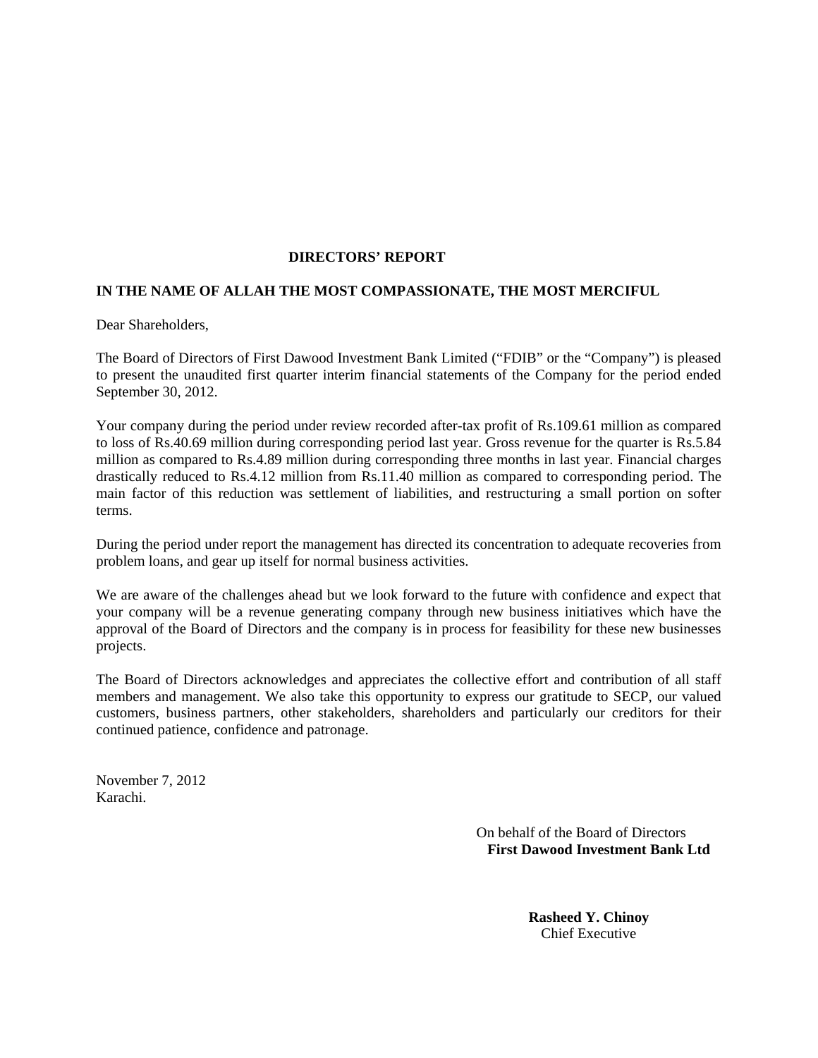# **DIRECTORS' REPORT**

# **IN THE NAME OF ALLAH THE MOST COMPASSIONATE, THE MOST MERCIFUL**

Dear Shareholders,

The Board of Directors of First Dawood Investment Bank Limited ("FDIB" or the "Company") is pleased to present the unaudited first quarter interim financial statements of the Company for the period ended September 30, 2012.

Your company during the period under review recorded after-tax profit of Rs.109.61 million as compared to loss of Rs.40.69 million during corresponding period last year. Gross revenue for the quarter is Rs.5.84 million as compared to Rs.4.89 million during corresponding three months in last year. Financial charges drastically reduced to Rs.4.12 million from Rs.11.40 million as compared to corresponding period. The main factor of this reduction was settlement of liabilities, and restructuring a small portion on softer terms.

During the period under report the management has directed its concentration to adequate recoveries from problem loans, and gear up itself for normal business activities.

We are aware of the challenges ahead but we look forward to the future with confidence and expect that your company will be a revenue generating company through new business initiatives which have the approval of the Board of Directors and the company is in process for feasibility for these new businesses projects.

The Board of Directors acknowledges and appreciates the collective effort and contribution of all staff members and management. We also take this opportunity to express our gratitude to SECP, our valued customers, business partners, other stakeholders, shareholders and particularly our creditors for their continued patience, confidence and patronage.

November 7, 2012 Karachi.

> On behalf of the Board of Directors  **First Dawood Investment Bank Ltd**

> > **Rasheed Y. Chinoy** Chief Executive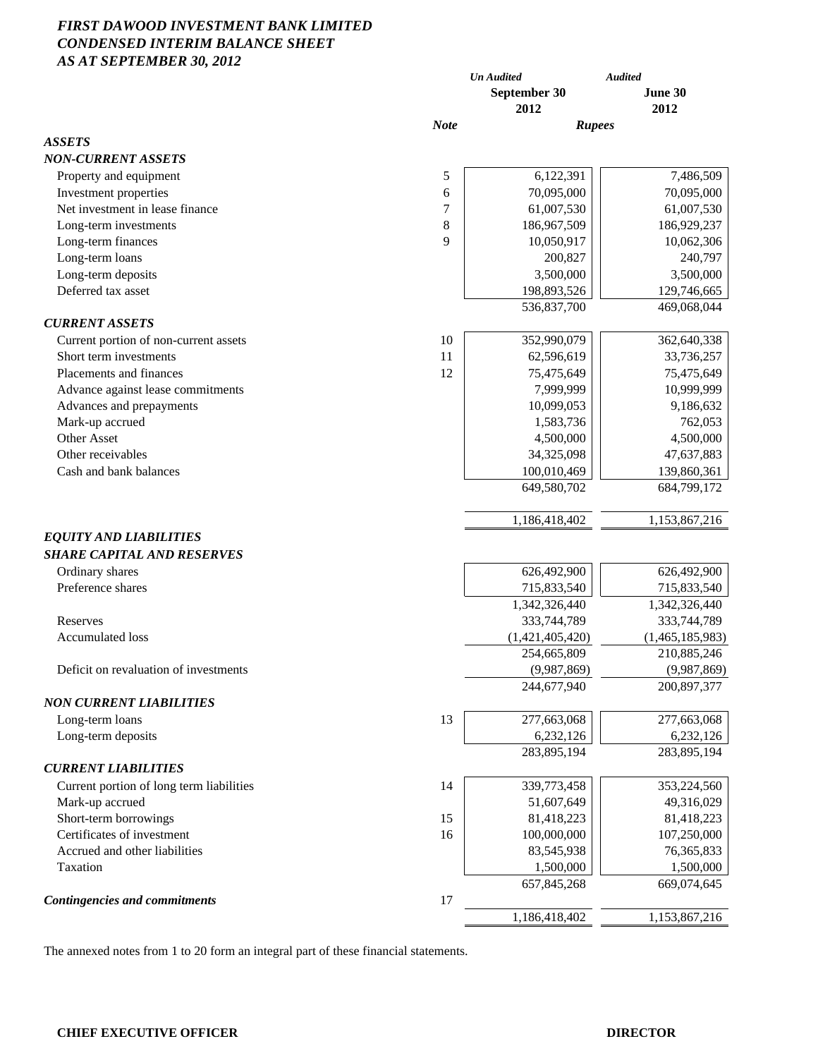# *FIRST DAWOOD INVESTMENT BANK LIMITED CONDENSED INTERIM BALANCE SHEET AS AT SEPTEMBER 30, 2012*

| June 30<br>September 30<br>2012<br>2012<br><b>Note</b><br><b>Rupees</b><br>6,122,391<br>7,486,509<br>5<br>Property and equipment<br>Investment properties<br>70,095,000<br>70,095,000<br>6<br>Net investment in lease finance<br>7<br>61,007,530<br>61,007,530<br>8<br>Long-term investments<br>186,967,509<br>186,929,237<br>9<br>Long-term finances<br>10,050,917<br>10,062,306<br>Long-term loans<br>200,827<br>240,797<br>Long-term deposits<br>3,500,000<br>3,500,000<br>Deferred tax asset<br>198,893,526<br>129,746,665<br>536,837,700<br>469,068,044<br>Current portion of non-current assets<br>10<br>352,990,079<br>362,640,338<br>Short term investments<br>33,736,257<br>11<br>62,596,619<br>Placements and finances<br>12<br>75,475,649<br>75,475,649<br>10,999,999<br>Advance against lease commitments<br>7,999,999<br>Advances and prepayments<br>10,099,053<br>9,186,632<br>Mark-up accrued<br>1,583,736<br>762,053<br><b>Other Asset</b><br>4,500,000<br>4,500,000<br>Other receivables<br>34,325,098<br>47,637,883<br>Cash and bank balances<br>100,010,469<br>139,860,361<br>649,580,702<br>684,799,172<br>1,153,867,216<br>1,186,418,402<br><b>EQUITY AND LIABILITIES</b><br><b>SHARE CAPITAL AND RESERVES</b><br>Ordinary shares<br>626,492,900<br>626,492,900<br>Preference shares<br>715,833,540<br>715,833,540<br>1,342,326,440<br>1,342,326,440<br>Reserves<br>333,744,789<br>333,744,789<br><b>Accumulated loss</b><br>(1,421,405,420)<br>(1,465,185,983)<br>254,665,809<br>210,885,246<br>Deficit on revaluation of investments<br>(9,987,869)<br>(9,987,869)<br>244,677,940<br>200,897,377<br><b>NON CURRENT LIABILITIES</b><br>277,663,068<br>277,663,068<br>Long-term loans<br>13<br>6,232,126<br>6,232,126<br>Long-term deposits<br>283,895,194<br>283,895,194<br><b>CURRENT LIABILITIES</b><br>Current portion of long term liabilities<br>339,773,458<br>353,224,560<br>14<br>Mark-up accrued<br>49,316,029<br>51,607,649<br>Short-term borrowings<br>15<br>81,418,223<br>81,418,223<br>Certificates of investment<br>16<br>100,000,000<br>107,250,000<br>Accrued and other liabilities<br>83,545,938<br>76, 365, 833<br>Taxation<br>1,500,000<br>1,500,000<br>657,845,268<br>669,074,645<br>17<br><b>Contingencies and commitments</b><br>1,186,418,402<br>1,153,867,216 | 119 ліі 9121 і Екибек 90, 2012 | <b>Un Audited</b> | <b>Audited</b> |
|-------------------------------------------------------------------------------------------------------------------------------------------------------------------------------------------------------------------------------------------------------------------------------------------------------------------------------------------------------------------------------------------------------------------------------------------------------------------------------------------------------------------------------------------------------------------------------------------------------------------------------------------------------------------------------------------------------------------------------------------------------------------------------------------------------------------------------------------------------------------------------------------------------------------------------------------------------------------------------------------------------------------------------------------------------------------------------------------------------------------------------------------------------------------------------------------------------------------------------------------------------------------------------------------------------------------------------------------------------------------------------------------------------------------------------------------------------------------------------------------------------------------------------------------------------------------------------------------------------------------------------------------------------------------------------------------------------------------------------------------------------------------------------------------------------------------------------------------------------------------------------------------------------------------------------------------------------------------------------------------------------------------------------------------------------------------------------------------------------------------------------------------------------------------------------------------------------------------------------------------------------------------------------------------------------------|--------------------------------|-------------------|----------------|
|                                                                                                                                                                                                                                                                                                                                                                                                                                                                                                                                                                                                                                                                                                                                                                                                                                                                                                                                                                                                                                                                                                                                                                                                                                                                                                                                                                                                                                                                                                                                                                                                                                                                                                                                                                                                                                                                                                                                                                                                                                                                                                                                                                                                                                                                                                             |                                |                   |                |
|                                                                                                                                                                                                                                                                                                                                                                                                                                                                                                                                                                                                                                                                                                                                                                                                                                                                                                                                                                                                                                                                                                                                                                                                                                                                                                                                                                                                                                                                                                                                                                                                                                                                                                                                                                                                                                                                                                                                                                                                                                                                                                                                                                                                                                                                                                             |                                |                   |                |
|                                                                                                                                                                                                                                                                                                                                                                                                                                                                                                                                                                                                                                                                                                                                                                                                                                                                                                                                                                                                                                                                                                                                                                                                                                                                                                                                                                                                                                                                                                                                                                                                                                                                                                                                                                                                                                                                                                                                                                                                                                                                                                                                                                                                                                                                                                             | <b>ASSETS</b>                  |                   |                |
|                                                                                                                                                                                                                                                                                                                                                                                                                                                                                                                                                                                                                                                                                                                                                                                                                                                                                                                                                                                                                                                                                                                                                                                                                                                                                                                                                                                                                                                                                                                                                                                                                                                                                                                                                                                                                                                                                                                                                                                                                                                                                                                                                                                                                                                                                                             | <b>NON-CURRENT ASSETS</b>      |                   |                |
|                                                                                                                                                                                                                                                                                                                                                                                                                                                                                                                                                                                                                                                                                                                                                                                                                                                                                                                                                                                                                                                                                                                                                                                                                                                                                                                                                                                                                                                                                                                                                                                                                                                                                                                                                                                                                                                                                                                                                                                                                                                                                                                                                                                                                                                                                                             |                                |                   |                |
|                                                                                                                                                                                                                                                                                                                                                                                                                                                                                                                                                                                                                                                                                                                                                                                                                                                                                                                                                                                                                                                                                                                                                                                                                                                                                                                                                                                                                                                                                                                                                                                                                                                                                                                                                                                                                                                                                                                                                                                                                                                                                                                                                                                                                                                                                                             |                                |                   |                |
|                                                                                                                                                                                                                                                                                                                                                                                                                                                                                                                                                                                                                                                                                                                                                                                                                                                                                                                                                                                                                                                                                                                                                                                                                                                                                                                                                                                                                                                                                                                                                                                                                                                                                                                                                                                                                                                                                                                                                                                                                                                                                                                                                                                                                                                                                                             |                                |                   |                |
|                                                                                                                                                                                                                                                                                                                                                                                                                                                                                                                                                                                                                                                                                                                                                                                                                                                                                                                                                                                                                                                                                                                                                                                                                                                                                                                                                                                                                                                                                                                                                                                                                                                                                                                                                                                                                                                                                                                                                                                                                                                                                                                                                                                                                                                                                                             |                                |                   |                |
|                                                                                                                                                                                                                                                                                                                                                                                                                                                                                                                                                                                                                                                                                                                                                                                                                                                                                                                                                                                                                                                                                                                                                                                                                                                                                                                                                                                                                                                                                                                                                                                                                                                                                                                                                                                                                                                                                                                                                                                                                                                                                                                                                                                                                                                                                                             |                                |                   |                |
|                                                                                                                                                                                                                                                                                                                                                                                                                                                                                                                                                                                                                                                                                                                                                                                                                                                                                                                                                                                                                                                                                                                                                                                                                                                                                                                                                                                                                                                                                                                                                                                                                                                                                                                                                                                                                                                                                                                                                                                                                                                                                                                                                                                                                                                                                                             |                                |                   |                |
|                                                                                                                                                                                                                                                                                                                                                                                                                                                                                                                                                                                                                                                                                                                                                                                                                                                                                                                                                                                                                                                                                                                                                                                                                                                                                                                                                                                                                                                                                                                                                                                                                                                                                                                                                                                                                                                                                                                                                                                                                                                                                                                                                                                                                                                                                                             |                                |                   |                |
|                                                                                                                                                                                                                                                                                                                                                                                                                                                                                                                                                                                                                                                                                                                                                                                                                                                                                                                                                                                                                                                                                                                                                                                                                                                                                                                                                                                                                                                                                                                                                                                                                                                                                                                                                                                                                                                                                                                                                                                                                                                                                                                                                                                                                                                                                                             |                                |                   |                |
|                                                                                                                                                                                                                                                                                                                                                                                                                                                                                                                                                                                                                                                                                                                                                                                                                                                                                                                                                                                                                                                                                                                                                                                                                                                                                                                                                                                                                                                                                                                                                                                                                                                                                                                                                                                                                                                                                                                                                                                                                                                                                                                                                                                                                                                                                                             |                                |                   |                |
|                                                                                                                                                                                                                                                                                                                                                                                                                                                                                                                                                                                                                                                                                                                                                                                                                                                                                                                                                                                                                                                                                                                                                                                                                                                                                                                                                                                                                                                                                                                                                                                                                                                                                                                                                                                                                                                                                                                                                                                                                                                                                                                                                                                                                                                                                                             | <b>CURRENT ASSETS</b>          |                   |                |
|                                                                                                                                                                                                                                                                                                                                                                                                                                                                                                                                                                                                                                                                                                                                                                                                                                                                                                                                                                                                                                                                                                                                                                                                                                                                                                                                                                                                                                                                                                                                                                                                                                                                                                                                                                                                                                                                                                                                                                                                                                                                                                                                                                                                                                                                                                             |                                |                   |                |
|                                                                                                                                                                                                                                                                                                                                                                                                                                                                                                                                                                                                                                                                                                                                                                                                                                                                                                                                                                                                                                                                                                                                                                                                                                                                                                                                                                                                                                                                                                                                                                                                                                                                                                                                                                                                                                                                                                                                                                                                                                                                                                                                                                                                                                                                                                             |                                |                   |                |
|                                                                                                                                                                                                                                                                                                                                                                                                                                                                                                                                                                                                                                                                                                                                                                                                                                                                                                                                                                                                                                                                                                                                                                                                                                                                                                                                                                                                                                                                                                                                                                                                                                                                                                                                                                                                                                                                                                                                                                                                                                                                                                                                                                                                                                                                                                             |                                |                   |                |
|                                                                                                                                                                                                                                                                                                                                                                                                                                                                                                                                                                                                                                                                                                                                                                                                                                                                                                                                                                                                                                                                                                                                                                                                                                                                                                                                                                                                                                                                                                                                                                                                                                                                                                                                                                                                                                                                                                                                                                                                                                                                                                                                                                                                                                                                                                             |                                |                   |                |
|                                                                                                                                                                                                                                                                                                                                                                                                                                                                                                                                                                                                                                                                                                                                                                                                                                                                                                                                                                                                                                                                                                                                                                                                                                                                                                                                                                                                                                                                                                                                                                                                                                                                                                                                                                                                                                                                                                                                                                                                                                                                                                                                                                                                                                                                                                             |                                |                   |                |
|                                                                                                                                                                                                                                                                                                                                                                                                                                                                                                                                                                                                                                                                                                                                                                                                                                                                                                                                                                                                                                                                                                                                                                                                                                                                                                                                                                                                                                                                                                                                                                                                                                                                                                                                                                                                                                                                                                                                                                                                                                                                                                                                                                                                                                                                                                             |                                |                   |                |
|                                                                                                                                                                                                                                                                                                                                                                                                                                                                                                                                                                                                                                                                                                                                                                                                                                                                                                                                                                                                                                                                                                                                                                                                                                                                                                                                                                                                                                                                                                                                                                                                                                                                                                                                                                                                                                                                                                                                                                                                                                                                                                                                                                                                                                                                                                             |                                |                   |                |
|                                                                                                                                                                                                                                                                                                                                                                                                                                                                                                                                                                                                                                                                                                                                                                                                                                                                                                                                                                                                                                                                                                                                                                                                                                                                                                                                                                                                                                                                                                                                                                                                                                                                                                                                                                                                                                                                                                                                                                                                                                                                                                                                                                                                                                                                                                             |                                |                   |                |
|                                                                                                                                                                                                                                                                                                                                                                                                                                                                                                                                                                                                                                                                                                                                                                                                                                                                                                                                                                                                                                                                                                                                                                                                                                                                                                                                                                                                                                                                                                                                                                                                                                                                                                                                                                                                                                                                                                                                                                                                                                                                                                                                                                                                                                                                                                             |                                |                   |                |
|                                                                                                                                                                                                                                                                                                                                                                                                                                                                                                                                                                                                                                                                                                                                                                                                                                                                                                                                                                                                                                                                                                                                                                                                                                                                                                                                                                                                                                                                                                                                                                                                                                                                                                                                                                                                                                                                                                                                                                                                                                                                                                                                                                                                                                                                                                             |                                |                   |                |
|                                                                                                                                                                                                                                                                                                                                                                                                                                                                                                                                                                                                                                                                                                                                                                                                                                                                                                                                                                                                                                                                                                                                                                                                                                                                                                                                                                                                                                                                                                                                                                                                                                                                                                                                                                                                                                                                                                                                                                                                                                                                                                                                                                                                                                                                                                             |                                |                   |                |
|                                                                                                                                                                                                                                                                                                                                                                                                                                                                                                                                                                                                                                                                                                                                                                                                                                                                                                                                                                                                                                                                                                                                                                                                                                                                                                                                                                                                                                                                                                                                                                                                                                                                                                                                                                                                                                                                                                                                                                                                                                                                                                                                                                                                                                                                                                             |                                |                   |                |
|                                                                                                                                                                                                                                                                                                                                                                                                                                                                                                                                                                                                                                                                                                                                                                                                                                                                                                                                                                                                                                                                                                                                                                                                                                                                                                                                                                                                                                                                                                                                                                                                                                                                                                                                                                                                                                                                                                                                                                                                                                                                                                                                                                                                                                                                                                             |                                |                   |                |
|                                                                                                                                                                                                                                                                                                                                                                                                                                                                                                                                                                                                                                                                                                                                                                                                                                                                                                                                                                                                                                                                                                                                                                                                                                                                                                                                                                                                                                                                                                                                                                                                                                                                                                                                                                                                                                                                                                                                                                                                                                                                                                                                                                                                                                                                                                             |                                |                   |                |
|                                                                                                                                                                                                                                                                                                                                                                                                                                                                                                                                                                                                                                                                                                                                                                                                                                                                                                                                                                                                                                                                                                                                                                                                                                                                                                                                                                                                                                                                                                                                                                                                                                                                                                                                                                                                                                                                                                                                                                                                                                                                                                                                                                                                                                                                                                             |                                |                   |                |
|                                                                                                                                                                                                                                                                                                                                                                                                                                                                                                                                                                                                                                                                                                                                                                                                                                                                                                                                                                                                                                                                                                                                                                                                                                                                                                                                                                                                                                                                                                                                                                                                                                                                                                                                                                                                                                                                                                                                                                                                                                                                                                                                                                                                                                                                                                             |                                |                   |                |
|                                                                                                                                                                                                                                                                                                                                                                                                                                                                                                                                                                                                                                                                                                                                                                                                                                                                                                                                                                                                                                                                                                                                                                                                                                                                                                                                                                                                                                                                                                                                                                                                                                                                                                                                                                                                                                                                                                                                                                                                                                                                                                                                                                                                                                                                                                             |                                |                   |                |
|                                                                                                                                                                                                                                                                                                                                                                                                                                                                                                                                                                                                                                                                                                                                                                                                                                                                                                                                                                                                                                                                                                                                                                                                                                                                                                                                                                                                                                                                                                                                                                                                                                                                                                                                                                                                                                                                                                                                                                                                                                                                                                                                                                                                                                                                                                             |                                |                   |                |
|                                                                                                                                                                                                                                                                                                                                                                                                                                                                                                                                                                                                                                                                                                                                                                                                                                                                                                                                                                                                                                                                                                                                                                                                                                                                                                                                                                                                                                                                                                                                                                                                                                                                                                                                                                                                                                                                                                                                                                                                                                                                                                                                                                                                                                                                                                             |                                |                   |                |
|                                                                                                                                                                                                                                                                                                                                                                                                                                                                                                                                                                                                                                                                                                                                                                                                                                                                                                                                                                                                                                                                                                                                                                                                                                                                                                                                                                                                                                                                                                                                                                                                                                                                                                                                                                                                                                                                                                                                                                                                                                                                                                                                                                                                                                                                                                             |                                |                   |                |
|                                                                                                                                                                                                                                                                                                                                                                                                                                                                                                                                                                                                                                                                                                                                                                                                                                                                                                                                                                                                                                                                                                                                                                                                                                                                                                                                                                                                                                                                                                                                                                                                                                                                                                                                                                                                                                                                                                                                                                                                                                                                                                                                                                                                                                                                                                             |                                |                   |                |
|                                                                                                                                                                                                                                                                                                                                                                                                                                                                                                                                                                                                                                                                                                                                                                                                                                                                                                                                                                                                                                                                                                                                                                                                                                                                                                                                                                                                                                                                                                                                                                                                                                                                                                                                                                                                                                                                                                                                                                                                                                                                                                                                                                                                                                                                                                             |                                |                   |                |
|                                                                                                                                                                                                                                                                                                                                                                                                                                                                                                                                                                                                                                                                                                                                                                                                                                                                                                                                                                                                                                                                                                                                                                                                                                                                                                                                                                                                                                                                                                                                                                                                                                                                                                                                                                                                                                                                                                                                                                                                                                                                                                                                                                                                                                                                                                             |                                |                   |                |
|                                                                                                                                                                                                                                                                                                                                                                                                                                                                                                                                                                                                                                                                                                                                                                                                                                                                                                                                                                                                                                                                                                                                                                                                                                                                                                                                                                                                                                                                                                                                                                                                                                                                                                                                                                                                                                                                                                                                                                                                                                                                                                                                                                                                                                                                                                             |                                |                   |                |
|                                                                                                                                                                                                                                                                                                                                                                                                                                                                                                                                                                                                                                                                                                                                                                                                                                                                                                                                                                                                                                                                                                                                                                                                                                                                                                                                                                                                                                                                                                                                                                                                                                                                                                                                                                                                                                                                                                                                                                                                                                                                                                                                                                                                                                                                                                             |                                |                   |                |
|                                                                                                                                                                                                                                                                                                                                                                                                                                                                                                                                                                                                                                                                                                                                                                                                                                                                                                                                                                                                                                                                                                                                                                                                                                                                                                                                                                                                                                                                                                                                                                                                                                                                                                                                                                                                                                                                                                                                                                                                                                                                                                                                                                                                                                                                                                             |                                |                   |                |
|                                                                                                                                                                                                                                                                                                                                                                                                                                                                                                                                                                                                                                                                                                                                                                                                                                                                                                                                                                                                                                                                                                                                                                                                                                                                                                                                                                                                                                                                                                                                                                                                                                                                                                                                                                                                                                                                                                                                                                                                                                                                                                                                                                                                                                                                                                             |                                |                   |                |
|                                                                                                                                                                                                                                                                                                                                                                                                                                                                                                                                                                                                                                                                                                                                                                                                                                                                                                                                                                                                                                                                                                                                                                                                                                                                                                                                                                                                                                                                                                                                                                                                                                                                                                                                                                                                                                                                                                                                                                                                                                                                                                                                                                                                                                                                                                             |                                |                   |                |
|                                                                                                                                                                                                                                                                                                                                                                                                                                                                                                                                                                                                                                                                                                                                                                                                                                                                                                                                                                                                                                                                                                                                                                                                                                                                                                                                                                                                                                                                                                                                                                                                                                                                                                                                                                                                                                                                                                                                                                                                                                                                                                                                                                                                                                                                                                             |                                |                   |                |
|                                                                                                                                                                                                                                                                                                                                                                                                                                                                                                                                                                                                                                                                                                                                                                                                                                                                                                                                                                                                                                                                                                                                                                                                                                                                                                                                                                                                                                                                                                                                                                                                                                                                                                                                                                                                                                                                                                                                                                                                                                                                                                                                                                                                                                                                                                             |                                |                   |                |
|                                                                                                                                                                                                                                                                                                                                                                                                                                                                                                                                                                                                                                                                                                                                                                                                                                                                                                                                                                                                                                                                                                                                                                                                                                                                                                                                                                                                                                                                                                                                                                                                                                                                                                                                                                                                                                                                                                                                                                                                                                                                                                                                                                                                                                                                                                             |                                |                   |                |
|                                                                                                                                                                                                                                                                                                                                                                                                                                                                                                                                                                                                                                                                                                                                                                                                                                                                                                                                                                                                                                                                                                                                                                                                                                                                                                                                                                                                                                                                                                                                                                                                                                                                                                                                                                                                                                                                                                                                                                                                                                                                                                                                                                                                                                                                                                             |                                |                   |                |
|                                                                                                                                                                                                                                                                                                                                                                                                                                                                                                                                                                                                                                                                                                                                                                                                                                                                                                                                                                                                                                                                                                                                                                                                                                                                                                                                                                                                                                                                                                                                                                                                                                                                                                                                                                                                                                                                                                                                                                                                                                                                                                                                                                                                                                                                                                             |                                |                   |                |
|                                                                                                                                                                                                                                                                                                                                                                                                                                                                                                                                                                                                                                                                                                                                                                                                                                                                                                                                                                                                                                                                                                                                                                                                                                                                                                                                                                                                                                                                                                                                                                                                                                                                                                                                                                                                                                                                                                                                                                                                                                                                                                                                                                                                                                                                                                             |                                |                   |                |

The annexed notes from 1 to 20 form an integral part of these financial statements.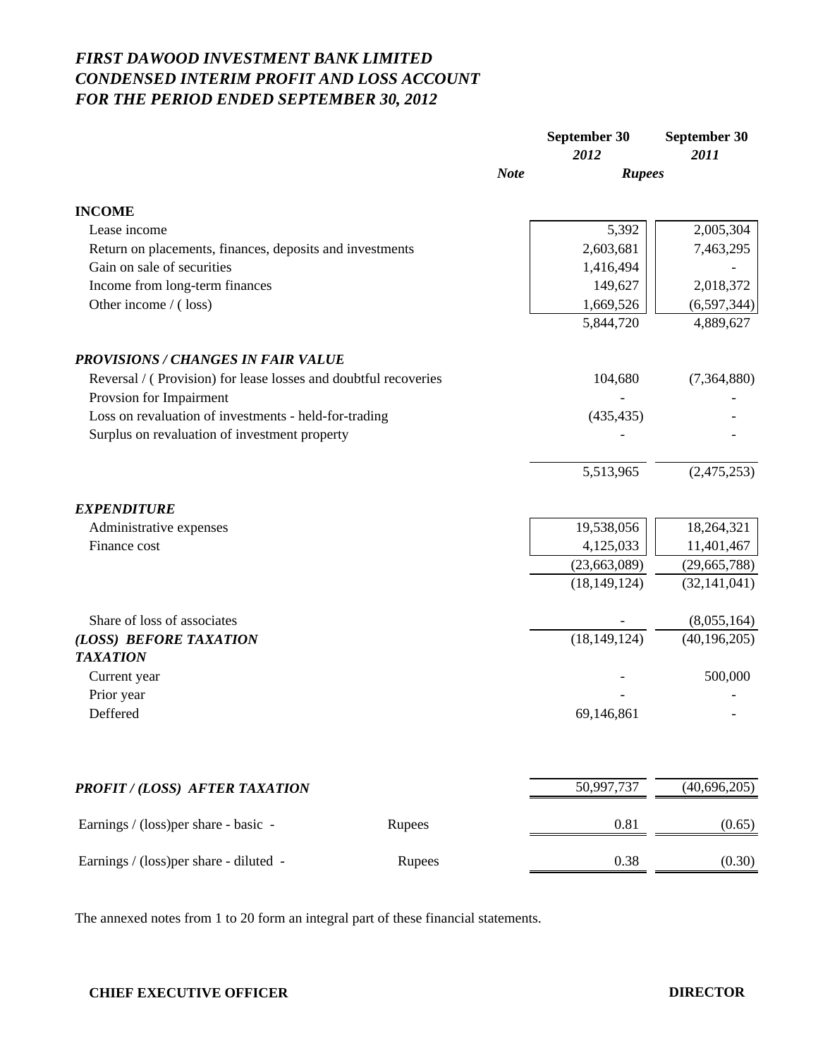# *FIRST DAWOOD INVESTMENT BANK LIMITED CONDENSED INTERIM PROFIT AND LOSS ACCOUNT FOR THE PERIOD ENDED SEPTEMBER 30, 2012*

|                                                                 |        |             | September 30<br>2012 | September 30<br>2011 |
|-----------------------------------------------------------------|--------|-------------|----------------------|----------------------|
|                                                                 |        | <b>Note</b> | <b>Rupees</b>        |                      |
| <b>INCOME</b>                                                   |        |             |                      |                      |
| Lease income                                                    |        |             | 5,392                | 2,005,304            |
| Return on placements, finances, deposits and investments        |        |             | 2,603,681            | 7,463,295            |
| Gain on sale of securities                                      |        |             | 1,416,494            |                      |
| Income from long-term finances                                  |        |             | 149,627              | 2,018,372            |
| Other income / (loss)                                           |        |             | 1,669,526            | (6, 597, 344)        |
|                                                                 |        |             | 5,844,720            | 4,889,627            |
| <b>PROVISIONS / CHANGES IN FAIR VALUE</b>                       |        |             |                      |                      |
| Reversal / (Provision) for lease losses and doubtful recoveries |        |             | 104,680              | (7,364,880)          |
| Provsion for Impairment                                         |        |             |                      |                      |
| Loss on revaluation of investments - held-for-trading           |        |             | (435, 435)           |                      |
| Surplus on revaluation of investment property                   |        |             |                      |                      |
|                                                                 |        |             | 5,513,965            | (2,475,253)          |
| <b>EXPENDITURE</b>                                              |        |             |                      |                      |
| Administrative expenses                                         |        |             | 19,538,056           | 18,264,321           |
| Finance cost                                                    |        |             | 4,125,033            | 11,401,467           |
|                                                                 |        |             | (23,663,089)         | (29,665,788)         |
|                                                                 |        |             | (18, 149, 124)       | (32, 141, 041)       |
| Share of loss of associates                                     |        |             |                      | (8,055,164)          |
| (LOSS) BEFORE TAXATION<br><b>TAXATION</b>                       |        |             | (18, 149, 124)       | (40, 196, 205)       |
| Current year                                                    |        |             |                      | 500,000              |
| Prior year                                                      |        |             |                      |                      |
| Deffered                                                        |        |             | 69,146,861           |                      |
|                                                                 |        |             |                      |                      |
| PROFIT / (LOSS) AFTER TAXATION                                  |        |             | 50,997,737           | (40, 696, 205)       |
| Earnings / (loss) per share - basic -                           | Rupees |             | 0.81                 | (0.65)               |
| Earnings / (loss) per share - diluted -                         | Rupees |             | 0.38                 | (0.30)               |
|                                                                 |        |             |                      |                      |

The annexed notes from 1 to 20 form an integral part of these financial statements.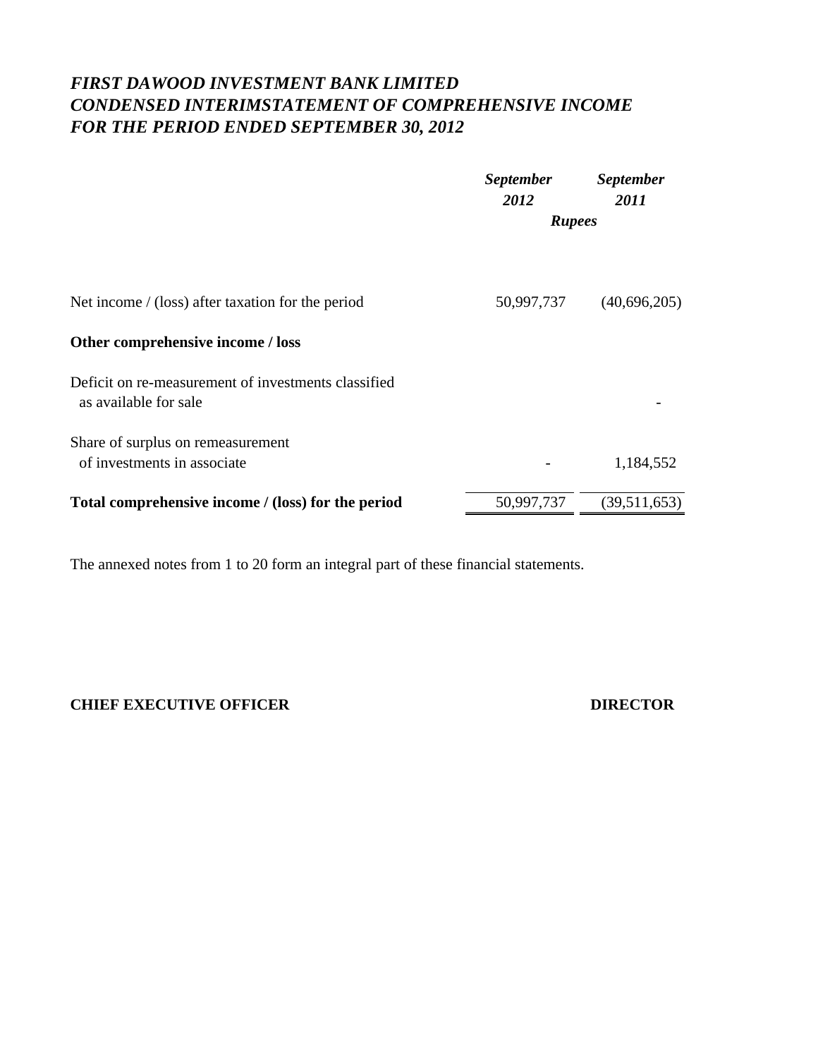# *FIRST DAWOOD INVESTMENT BANK LIMITED CONDENSED INTERIMSTATEMENT OF COMPREHENSIVE INCOME FOR THE PERIOD ENDED SEPTEMBER 30, 2012*

|                                                                              | <b>September</b><br>2012 | <b>September</b><br>2011 |
|------------------------------------------------------------------------------|--------------------------|--------------------------|
|                                                                              | <b>Rupees</b>            |                          |
| Net income $/(loss)$ after taxation for the period                           | 50,997,737               | (40,696,205)             |
| Other comprehensive income / loss                                            |                          |                          |
| Deficit on re-measurement of investments classified<br>as available for sale |                          |                          |
| Share of surplus on remeasurement<br>of investments in associate             |                          | 1,184,552                |
| Total comprehensive income / (loss) for the period                           | 50,997,737               | (39,511,653)             |

The annexed notes from 1 to 20 form an integral part of these financial statements.

# **CHIEF EXECUTIVE OFFICER DIRECTOR**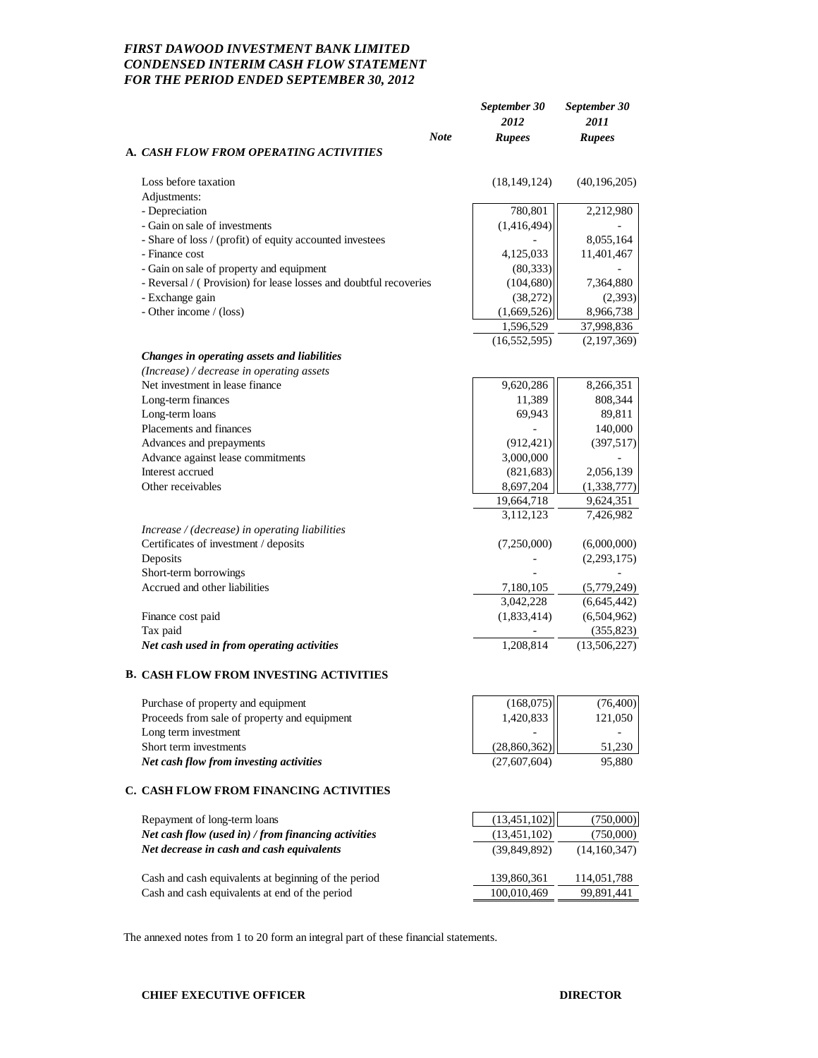# *FIRST DAWOOD INVESTMENT BANK LIMITED CONDENSED INTERIM CASH FLOW STATEMENT FOR THE PERIOD ENDED SEPTEMBER 30, 2012*

|                                                                                         | September 30<br>2012 | September 30<br>2011 |
|-----------------------------------------------------------------------------------------|----------------------|----------------------|
| <b>Note</b><br>A. CASH FLOW FROM OPERATING ACTIVITIES                                   | <b>Rupees</b>        | <b>Rupees</b>        |
| Loss before taxation                                                                    | (18, 149, 124)       | (40, 196, 205)       |
| Adjustments:                                                                            |                      |                      |
| - Depreciation                                                                          | 780,801              | 2,212,980            |
| - Gain on sale of investments                                                           | (1,416,494)          |                      |
| - Share of loss / (profit) of equity accounted investees                                |                      | 8,055,164            |
| - Finance cost                                                                          | 4,125,033            | 11,401,467           |
| - Gain on sale of property and equipment                                                | (80, 333)            |                      |
| - Reversal / (Provision) for lease losses and doubtful recoveries                       | (104, 680)           | 7,364,880            |
| - Exchange gain                                                                         | (38,272)             | (2,393)              |
| - Other income / (loss)                                                                 | (1,669,526)          | 8,966,738            |
|                                                                                         | 1,596,529            | 37,998,836           |
|                                                                                         | (16, 552, 595)       | (2,197,369)          |
| Changes in operating assets and liabilities                                             |                      |                      |
| (Increase) / decrease in operating assets                                               |                      |                      |
| Net investment in lease finance                                                         | 9,620,286            | 8,266,351            |
| Long-term finances                                                                      | 11,389               | 808,344              |
| Long-term loans                                                                         | 69,943               | 89,811               |
| Placements and finances                                                                 |                      | 140,000              |
| Advances and prepayments                                                                | (912, 421)           | (397,517)            |
| Advance against lease commitments                                                       | 3,000,000            |                      |
| Interest accrued                                                                        | (821, 683)           | 2,056,139            |
| Other receivables                                                                       | 8,697,204            | (1,338,777)          |
|                                                                                         | 19,664,718           | 9,624,351            |
|                                                                                         | 3,112,123            | 7,426,982            |
| Increase / (decrease) in operating liabilities<br>Certificates of investment / deposits | (7,250,000)          | (6,000,000)          |
| Deposits                                                                                |                      | (2,293,175)          |
| Short-term borrowings                                                                   |                      |                      |
| Accrued and other liabilities                                                           | 7,180,105            | (5,779,249)          |
|                                                                                         | 3,042,228            | (6,645,442)          |
| Finance cost paid                                                                       | (1,833,414)          | (6,504,962)          |
| Tax paid                                                                                |                      | (355, 823)           |
| Net cash used in from operating activities                                              | 1,208,814            | (13,506,227)         |
|                                                                                         |                      |                      |
| B. CASH FLOW FROM INVESTING ACTIVITIES                                                  |                      |                      |
| Purchase of property and equipment                                                      | (168,075)            | (76,400)             |
| Proceeds from sale of property and equipment                                            | 1,420,833            | 121,050              |
| Long term investment                                                                    |                      |                      |
| Short term investments                                                                  | (28, 860, 362)       | 51,230               |
| Net cash flow from investing activities                                                 | (27,607,604)         | 95,880               |
| C. CASH FLOW FROM FINANCING ACTIVITIES                                                  |                      |                      |
| Repayment of long-term loans                                                            | (13, 451, 102)       | (750,000)            |
| Net cash flow (used in) / from financing activities                                     | (13, 451, 102)       | (750,000)            |
| Net decrease in cash and cash equivalents                                               | (39, 849, 892)       | (14,160,347)         |
|                                                                                         |                      |                      |
| Cash and cash equivalents at beginning of the period                                    | 139,860,361          | 114,051,788          |
| Cash and cash equivalents at end of the period                                          | 100,010,469          | 99,891,441           |
|                                                                                         |                      |                      |

The annexed notes from 1 to 20 form an integral part of these financial statements.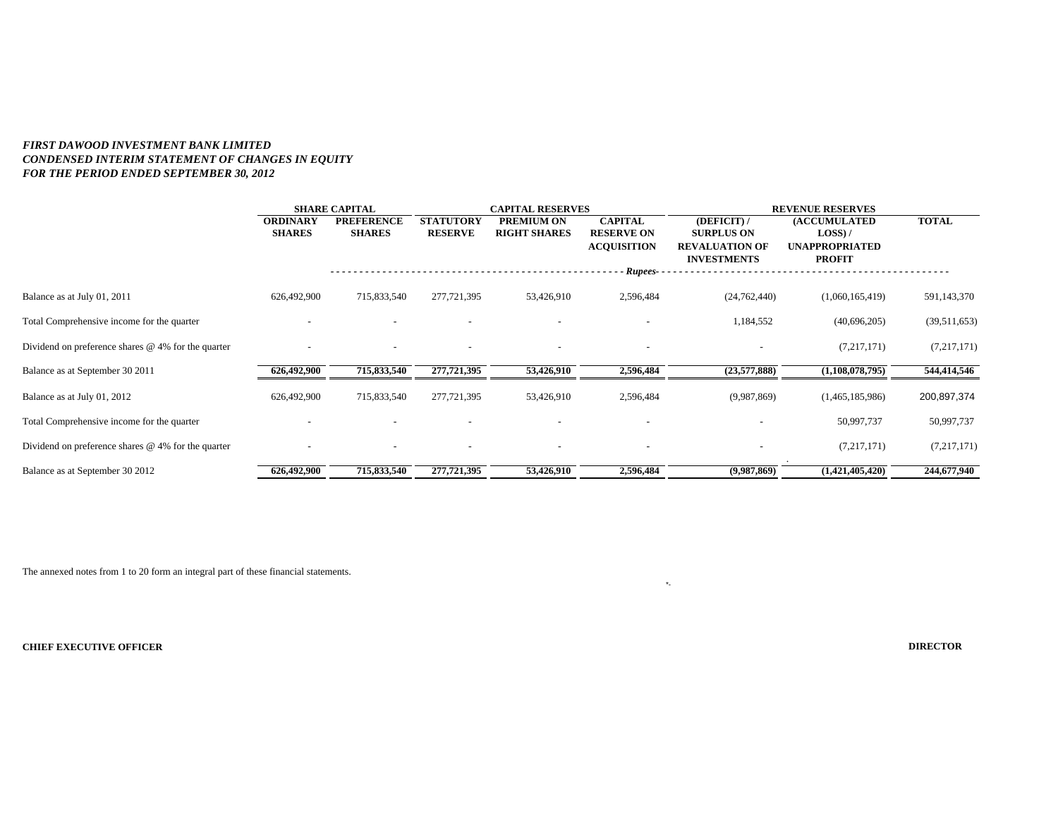### *FIRST DAWOOD INVESTMENT BANK LIMITED CONDENSED INTERIM STATEMENT OF CHANGES IN EQUITY FOR THE PERIOD ENDED SEPTEMBER 30, 2012*

|                                                      |                                  | <b>SHARE CAPITAL</b>               |                                    | <b>CAPITAL RESERVES</b>           |                                                           |                                                                                 | <b>REVENUE RESERVES</b>                                                     |              |
|------------------------------------------------------|----------------------------------|------------------------------------|------------------------------------|-----------------------------------|-----------------------------------------------------------|---------------------------------------------------------------------------------|-----------------------------------------------------------------------------|--------------|
|                                                      | <b>ORDINARY</b><br><b>SHARES</b> | <b>PREFERENCE</b><br><b>SHARES</b> | <b>STATUTORY</b><br><b>RESERVE</b> | PREMIUM ON<br><b>RIGHT SHARES</b> | <b>CAPITAL</b><br><b>RESERVE ON</b><br><b>ACQUISITION</b> | (DEFICIT) /<br><b>SURPLUS ON</b><br><b>REVALUATION OF</b><br><b>INVESTMENTS</b> | <b>(ACCUMULATED</b><br>$LOSS$ ) /<br><b>UNAPPROPRIATED</b><br><b>PROFIT</b> | <b>TOTAL</b> |
|                                                      |                                  |                                    |                                    |                                   | Rupees-                                                   |                                                                                 |                                                                             |              |
| Balance as at July 01, 2011                          | 626,492,900                      | 715,833,540                        | 277,721,395                        | 53,426,910                        | 2,596,484                                                 | (24, 762, 440)                                                                  | (1,060,165,419)                                                             | 591,143,370  |
| Total Comprehensive income for the quarter           |                                  |                                    |                                    |                                   |                                                           | 1,184,552                                                                       | (40,696,205)                                                                | (39,511,653) |
| Dividend on preference shares $@$ 4% for the quarter |                                  |                                    | $\overline{\phantom{a}}$           |                                   |                                                           |                                                                                 | (7,217,171)                                                                 | (7,217,171)  |
| Balance as at September 30 2011                      | 626,492,900                      | 715,833,540                        | 277,721,395                        | 53,426,910                        | 2,596,484                                                 | (23,577,888)                                                                    | (1,108,078,795)                                                             | 544,414,546  |
| Balance as at July 01, 2012                          | 626,492,900                      | 715,833,540                        | 277,721,395                        | 53,426,910                        | 2,596,484                                                 | (9,987,869)                                                                     | (1,465,185,986)                                                             | 200,897,374  |
| Total Comprehensive income for the quarter           |                                  |                                    |                                    |                                   |                                                           |                                                                                 | 50,997,737                                                                  | 50,997,737   |
| Dividend on preference shares $@$ 4% for the quarter |                                  |                                    | $\overline{\phantom{a}}$           |                                   |                                                           |                                                                                 | (7,217,171)                                                                 | (7,217,171)  |
| Balance as at September 30 2012                      | 626,492,900                      | 715,833,540                        | 277,721,395                        | 53,426,910                        | 2,596,484                                                 | (9,987,869)                                                                     | (1,421,405,420)                                                             | 244,677,940  |

\*-

The annexed notes from 1 to 20 form an integral part of these financial statements.

**CHIEF EXECUTIVE OFFICER**

**DIRECTOR**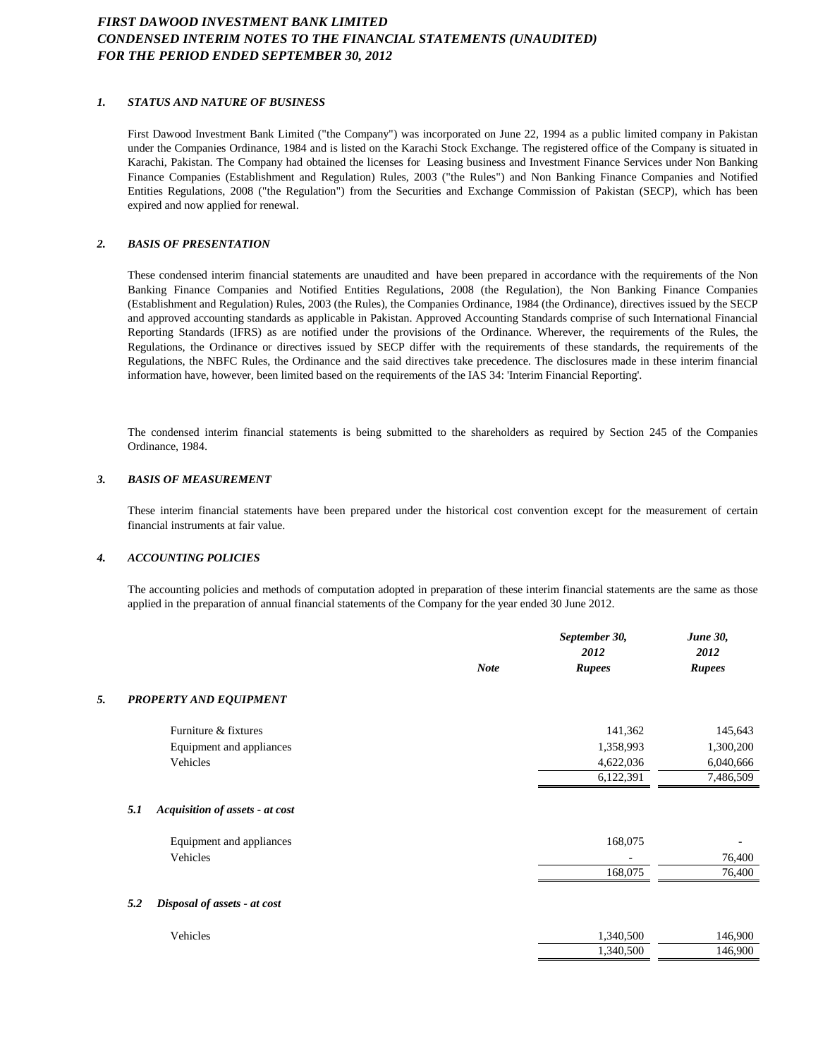# *FIRST DAWOOD INVESTMENT BANK LIMITED CONDENSED INTERIM NOTES TO THE FINANCIAL STATEMENTS (UNAUDITED) FOR THE PERIOD ENDED SEPTEMBER 30, 2012*

#### *1. STATUS AND NATURE OF BUSINESS*

First Dawood Investment Bank Limited ("the Company") was incorporated on June 22, 1994 as a public limited company in Pakistan under the Companies Ordinance, 1984 and is listed on the Karachi Stock Exchange. The registered office of the Company is situated in Karachi, Pakistan. The Company had obtained the licenses for Leasing business and Investment Finance Services under Non Banking Finance Companies (Establishment and Regulation) Rules, 2003 ("the Rules") and Non Banking Finance Companies and Notified Entities Regulations, 2008 ("the Regulation") from the Securities and Exchange Commission of Pakistan (SECP), which has been expired and now applied for renewal.

#### *2. BASIS OF PRESENTATION*

These condensed interim financial statements are unaudited and have been prepared in accordance with the requirements of the Non Banking Finance Companies and Notified Entities Regulations, 2008 (the Regulation), the Non Banking Finance Companies (Establishment and Regulation) Rules, 2003 (the Rules), the Companies Ordinance, 1984 (the Ordinance), directives issued by the SECP and approved accounting standards as applicable in Pakistan. Approved Accounting Standards comprise of such International Financial Reporting Standards (IFRS) as are notified under the provisions of the Ordinance. Wherever, the requirements of the Rules, the Regulations, the Ordinance or directives issued by SECP differ with the requirements of these standards, the requirements of the Regulations, the NBFC Rules, the Ordinance and the said directives take precedence. The disclosures made in these interim financial information have, however, been limited based on the requirements of the IAS 34: 'Interim Financial Reporting'.

The condensed interim financial statements is being submitted to the shareholders as required by Section 245 of the Companies Ordinance, 1984.

#### *3. BASIS OF MEASUREMENT*

These interim financial statements have been prepared under the historical cost convention except for the measurement of certain financial instruments at fair value.

#### *4. ACCOUNTING POLICIES*

The accounting policies and methods of computation adopted in preparation of these interim financial statements are the same as those applied in the preparation of annual financial statements of the Company for the year ended 30 June 2012.

|    |                                        | <b>Note</b> | September 30,<br>2012<br><b>Rupees</b> | <b>June 30,</b><br>2012<br><b>Rupees</b> |
|----|----------------------------------------|-------------|----------------------------------------|------------------------------------------|
| 5. | PROPERTY AND EQUIPMENT                 |             |                                        |                                          |
|    |                                        |             |                                        |                                          |
|    | Furniture & fixtures                   |             | 141,362                                | 145,643                                  |
|    | Equipment and appliances               |             | 1,358,993                              | 1,300,200                                |
|    | Vehicles                               |             | 4,622,036                              | 6,040,666                                |
|    |                                        |             | 6,122,391                              | 7,486,509                                |
|    |                                        |             |                                        |                                          |
|    | 5.1<br>Acquisition of assets - at cost |             |                                        |                                          |
|    | Equipment and appliances               |             | 168,075                                |                                          |
|    | Vehicles                               |             | ٠                                      | 76,400                                   |
|    |                                        |             | 168,075                                | 76,400                                   |
|    | 5.2<br>Disposal of assets - at cost    |             |                                        |                                          |
|    | Vehicles                               |             | 1,340,500                              | 146,900                                  |
|    |                                        |             | 1,340,500                              | 146,900                                  |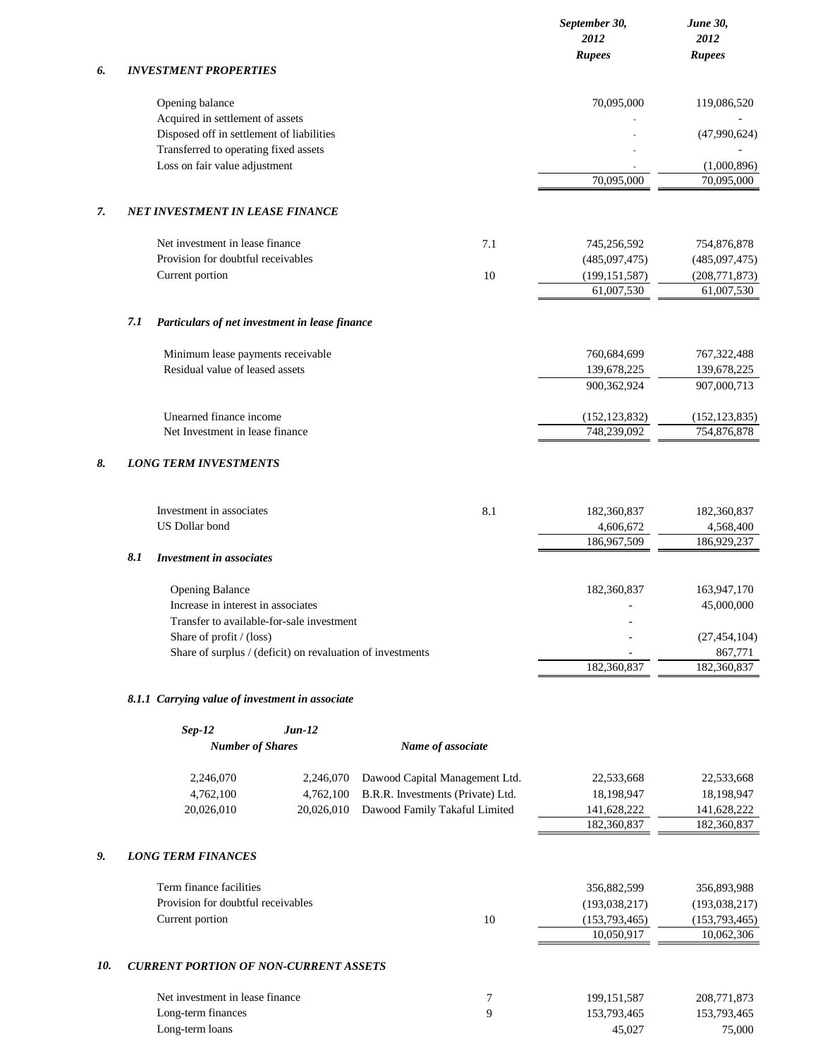|     |                                                                                        |                                   | September 30,<br>2012<br><b>Rupees</b> | June 30,<br>2012<br><b>Rupees</b> |
|-----|----------------------------------------------------------------------------------------|-----------------------------------|----------------------------------------|-----------------------------------|
| 6.  | <b>INVESTMENT PROPERTIES</b>                                                           |                                   |                                        |                                   |
|     | Opening balance<br>Acquired in settlement of assets                                    |                                   | 70,095,000                             | 119,086,520                       |
|     | Disposed off in settlement of liabilities                                              |                                   |                                        | (47,990,624)                      |
|     | Transferred to operating fixed assets<br>Loss on fair value adjustment                 |                                   |                                        | (1,000,896)                       |
|     |                                                                                        |                                   | 70,095,000                             | 70,095,000                        |
| 7.  | <b>NET INVESTMENT IN LEASE FINANCE</b>                                                 |                                   |                                        |                                   |
|     | Net investment in lease finance                                                        | 7.1                               | 745,256,592                            | 754,876,878                       |
|     | Provision for doubtful receivables                                                     |                                   | (485,097,475)                          | (485,097,475)                     |
|     | Current portion                                                                        | 10                                | (199, 151, 587)                        | (208, 771, 873)                   |
|     |                                                                                        |                                   | 61,007,530                             | 61,007,530                        |
|     | 7.1<br>Particulars of net investment in lease finance                                  |                                   |                                        |                                   |
|     | Minimum lease payments receivable                                                      |                                   | 760,684,699                            | 767, 322, 488                     |
|     | Residual value of leased assets                                                        |                                   | 139,678,225<br>900,362,924             | 139,678,225<br>907,000,713        |
|     |                                                                                        |                                   |                                        |                                   |
|     | Unearned finance income<br>Net Investment in lease finance                             |                                   | (152, 123, 832)<br>748,239,092         | (152, 123, 835)<br>754,876,878    |
|     |                                                                                        |                                   |                                        |                                   |
| 8.  | <b>LONG TERM INVESTMENTS</b>                                                           |                                   |                                        |                                   |
|     | Investment in associates                                                               | 8.1                               | 182,360,837                            | 182,360,837                       |
|     | <b>US Dollar bond</b>                                                                  |                                   | 4,606,672<br>186,967,509               | 4,568,400<br>186,929,237          |
|     | 8.1<br><b>Investment in associates</b>                                                 |                                   |                                        |                                   |
|     | <b>Opening Balance</b>                                                                 |                                   | 182,360,837                            | 163,947,170                       |
|     | Increase in interest in associates                                                     |                                   |                                        | 45,000,000                        |
|     | Transfer to available-for-sale investment                                              |                                   |                                        |                                   |
|     | Share of profit / (loss)<br>Share of surplus / (deficit) on revaluation of investments |                                   |                                        | (27, 454, 104)<br>867,771         |
|     |                                                                                        |                                   | 182,360,837                            | 182,360,837                       |
|     | 8.1.1 Carrying value of investment in associate                                        |                                   |                                        |                                   |
|     | $Sep-12$<br>$Jun-12$                                                                   |                                   |                                        |                                   |
|     | <b>Number of Shares</b>                                                                | Name of associate                 |                                        |                                   |
|     | 2,246,070<br>2,246,070                                                                 | Dawood Capital Management Ltd.    | 22,533,668                             | 22,533,668                        |
|     | 4,762,100<br>4,762,100                                                                 | B.R.R. Investments (Private) Ltd. | 18,198,947                             | 18,198,947                        |
|     | 20,026,010<br>20,026,010                                                               | Dawood Family Takaful Limited     | 141,628,222<br>182,360,837             | 141,628,222<br>182,360,837        |
| 9.  | <b>LONG TERM FINANCES</b>                                                              |                                   |                                        |                                   |
|     | Term finance facilities                                                                |                                   | 356,882,599                            | 356,893,988                       |
|     | Provision for doubtful receivables                                                     |                                   | (193, 038, 217)                        | (193, 038, 217)                   |
|     | Current portion                                                                        | 10                                | (153, 793, 465)<br>10,050,917          | (153, 793, 465)<br>10,062,306     |
|     |                                                                                        |                                   |                                        |                                   |
| 10. | <b>CURRENT PORTION OF NON-CURRENT ASSETS</b>                                           |                                   |                                        |                                   |
|     | Net investment in lease finance                                                        | 7                                 | 199, 151, 587                          | 208,771,873                       |
|     | Long-term finances                                                                     | 9                                 | 153,793,465                            | 153,793,465                       |

Long-term loans 45,027 75,000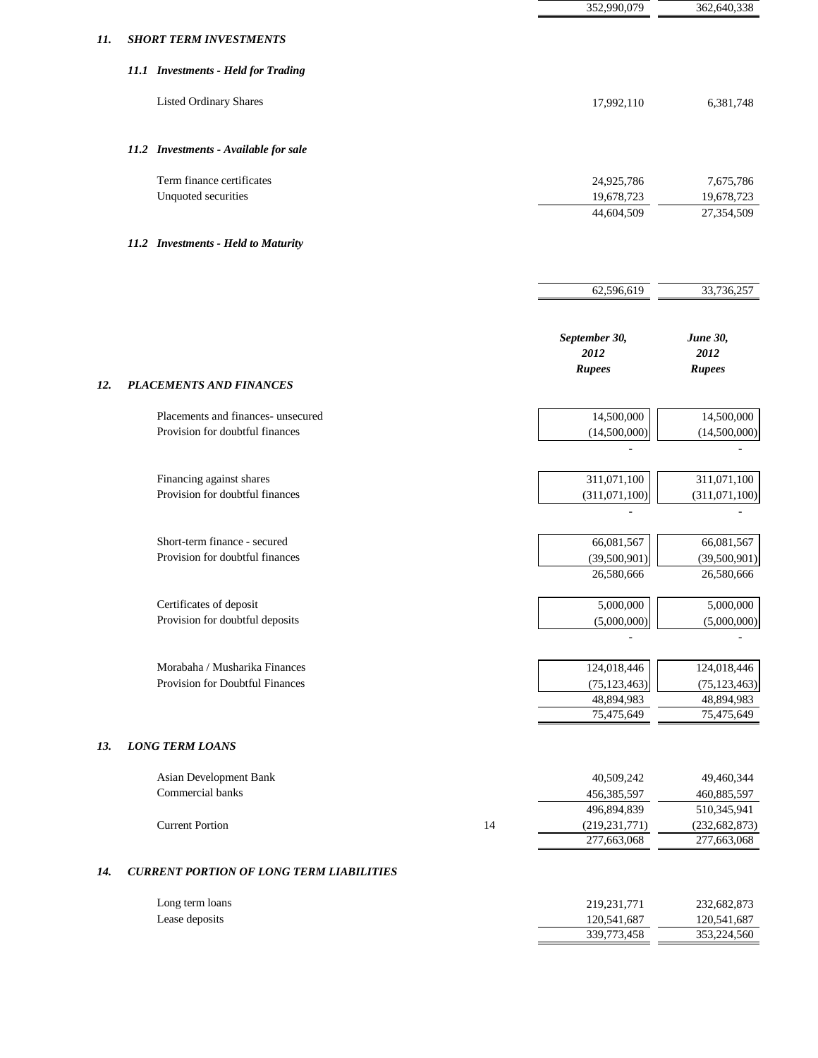|                                                                       |                                     | 352,990,079                                 | 362,640,338                                               |
|-----------------------------------------------------------------------|-------------------------------------|---------------------------------------------|-----------------------------------------------------------|
| <b>SHORT TERM INVESTMENTS</b>                                         |                                     |                                             |                                                           |
| 11.1 Investments - Held for Trading                                   |                                     |                                             |                                                           |
| <b>Listed Ordinary Shares</b>                                         |                                     | 17,992,110                                  | 6,381,748                                                 |
| 11.2 Investments - Available for sale                                 |                                     |                                             |                                                           |
| Term finance certificates<br>Unquoted securities                      |                                     | 24,925,786<br>19,678,723                    | 7,675,786<br>19,678,723                                   |
|                                                                       |                                     | 44,604,509                                  | 27,354,509                                                |
|                                                                       |                                     |                                             |                                                           |
|                                                                       |                                     | 62,596,619                                  | 33,736,257                                                |
|                                                                       |                                     | September 30,<br>2012                       | June 30,<br>2012                                          |
| <b>PLACEMENTS AND FINANCES</b>                                        |                                     |                                             | <b>Rupees</b>                                             |
| Placements and finances- unsecured<br>Provision for doubtful finances |                                     | 14,500,000<br>(14,500,000)                  | 14,500,000<br>(14,500,000)                                |
| Financing against shares<br>Provision for doubtful finances           |                                     | 311,071,100<br>(311,071,100)                | 311,071,100<br>(311,071,100)                              |
| Short-term finance - secured<br>Provision for doubtful finances       |                                     | 66,081,567<br>(39,500,901)<br>26,580,666    | 66,081,567<br>(39,500,901)<br>26,580,666                  |
| Certificates of deposit<br>Provision for doubtful deposits            |                                     | 5,000,000<br>(5,000,000)                    | 5,000,000<br>(5,000,000)                                  |
| Morabaha / Musharika Finances<br>Provision for Doubtful Finances      |                                     | 124,018,446<br>(75, 123, 463)<br>48,894,983 | 124,018,446<br>(75, 123, 463)<br>48,894,983<br>75,475,649 |
| <b>LONG TERM LOANS</b>                                                |                                     |                                             |                                                           |
| Asian Development Bank<br>Commercial banks                            |                                     | 40,509,242<br>456,385,597                   | 49,460,344<br>460,885,597<br>510,345,941                  |
| <b>Current Portion</b>                                                | 14                                  | (219, 231, 771)<br>277,663,068              | (232, 682, 873)<br>277,663,068                            |
| <b>CURRENT PORTION OF LONG TERM LIABILITIES</b>                       |                                     |                                             |                                                           |
| Long term loans<br>Lease deposits                                     |                                     | 219,231,771<br>120,541,687<br>339,773,458   | 232,682,873<br>120,541,687<br>353,224,560                 |
|                                                                       | 11.2 Investments - Held to Maturity |                                             | <b>Rupees</b><br>75,475,649<br>496,894,839                |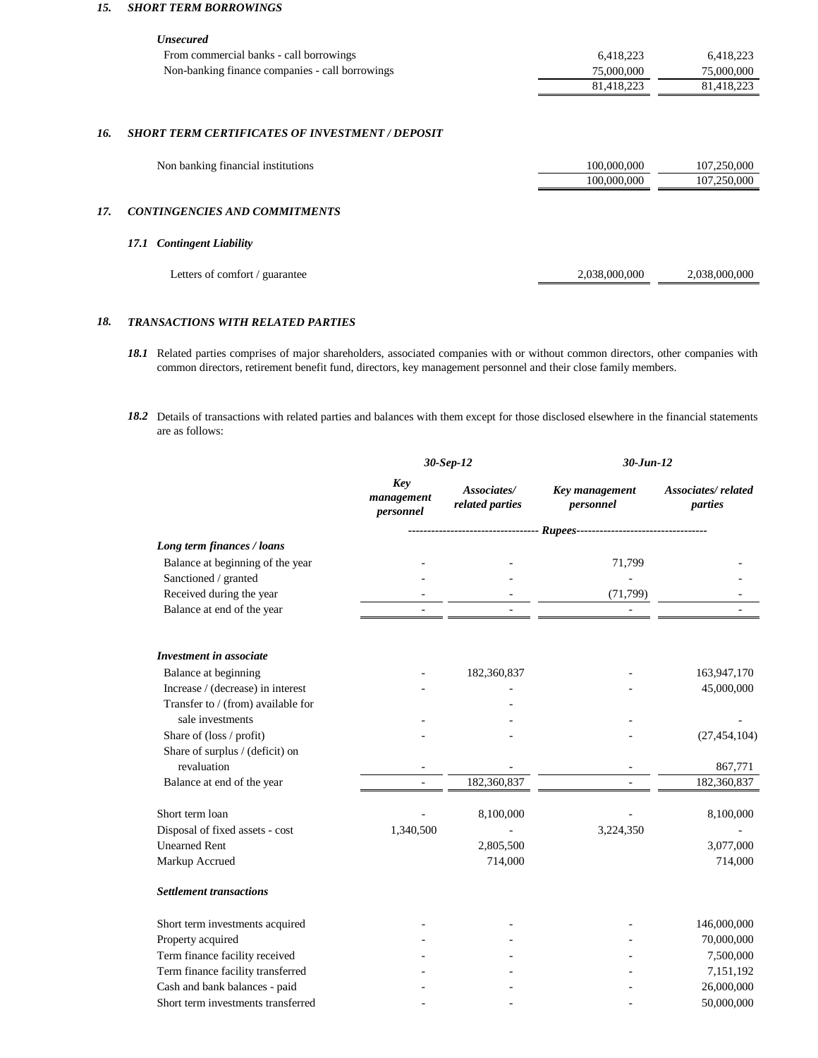#### *15. SHORT TERM BORROWINGS*

|     | <b><i>Unsecured</i></b>                                |               |               |
|-----|--------------------------------------------------------|---------------|---------------|
|     | From commercial banks - call borrowings                | 6,418,223     | 6,418,223     |
|     | Non-banking finance companies - call borrowings        | 75,000,000    | 75,000,000    |
|     |                                                        | 81,418,223    | 81,418,223    |
| 16. | <b>SHORT TERM CERTIFICATES OF INVESTMENT / DEPOSIT</b> |               |               |
|     | Non banking financial institutions                     | 100,000,000   | 107,250,000   |
|     |                                                        | 100,000,000   | 107,250,000   |
| 17. | <b>CONTINGENCIES AND COMMITMENTS</b>                   |               |               |
|     | <b>Contingent Liability</b><br>17.1                    |               |               |
|     | Letters of comfort / guarantee                         | 2,038,000,000 | 2,038,000,000 |

#### *18. TRANSACTIONS WITH RELATED PARTIES*

- *18.1* Related parties comprises of major shareholders, associated companies with or without common directors, other companies with common directors, retirement benefit fund, directors, key management personnel and their close family members.
- *18.2* Details of transactions with related parties and balances with them except for those disclosed elsewhere in the financial statements are as follows:

|                                    |                                | 30-Sep-12                      | $30$ -Jun-12                |                                      |  |
|------------------------------------|--------------------------------|--------------------------------|-----------------------------|--------------------------------------|--|
|                                    | Key<br>management<br>personnel | Associates/<br>related parties | Key management<br>personnel | <b>Associates/related</b><br>parties |  |
|                                    |                                |                                |                             |                                      |  |
| Long term finances / loans         |                                |                                |                             |                                      |  |
| Balance at beginning of the year   |                                |                                | 71,799                      |                                      |  |
| Sanctioned / granted               |                                |                                |                             |                                      |  |
| Received during the year           |                                |                                | (71, 799)                   |                                      |  |
| Balance at end of the year         |                                |                                |                             |                                      |  |
| <b>Investment in associate</b>     |                                |                                |                             |                                      |  |
| Balance at beginning               |                                | 182,360,837                    |                             | 163,947,170                          |  |
| Increase / (decrease) in interest  |                                |                                |                             | 45,000,000                           |  |
| Transfer to / (from) available for |                                |                                |                             |                                      |  |
| sale investments                   |                                |                                |                             |                                      |  |
| Share of (loss / profit)           |                                |                                |                             | (27, 454, 104)                       |  |
| Share of surplus / (deficit) on    |                                |                                |                             |                                      |  |
| revaluation                        |                                |                                |                             | 867,771                              |  |
| Balance at end of the year         |                                | 182,360,837                    |                             | 182,360,837                          |  |
| Short term loan                    |                                | 8,100,000                      |                             | 8,100,000                            |  |
| Disposal of fixed assets - cost    | 1,340,500                      |                                | 3,224,350                   |                                      |  |
| <b>Unearned Rent</b>               |                                | 2,805,500                      |                             | 3,077,000                            |  |
| Markup Accrued                     |                                | 714,000                        |                             | 714,000                              |  |
| <b>Settlement transactions</b>     |                                |                                |                             |                                      |  |
| Short term investments acquired    |                                |                                |                             | 146,000,000                          |  |
| Property acquired                  |                                |                                |                             | 70,000,000                           |  |
| Term finance facility received     |                                |                                |                             | 7,500,000                            |  |
| Term finance facility transferred  |                                |                                |                             | 7,151,192                            |  |
| Cash and bank balances - paid      |                                |                                |                             | 26,000,000                           |  |
| Short term investments transferred |                                |                                |                             | 50,000,000                           |  |